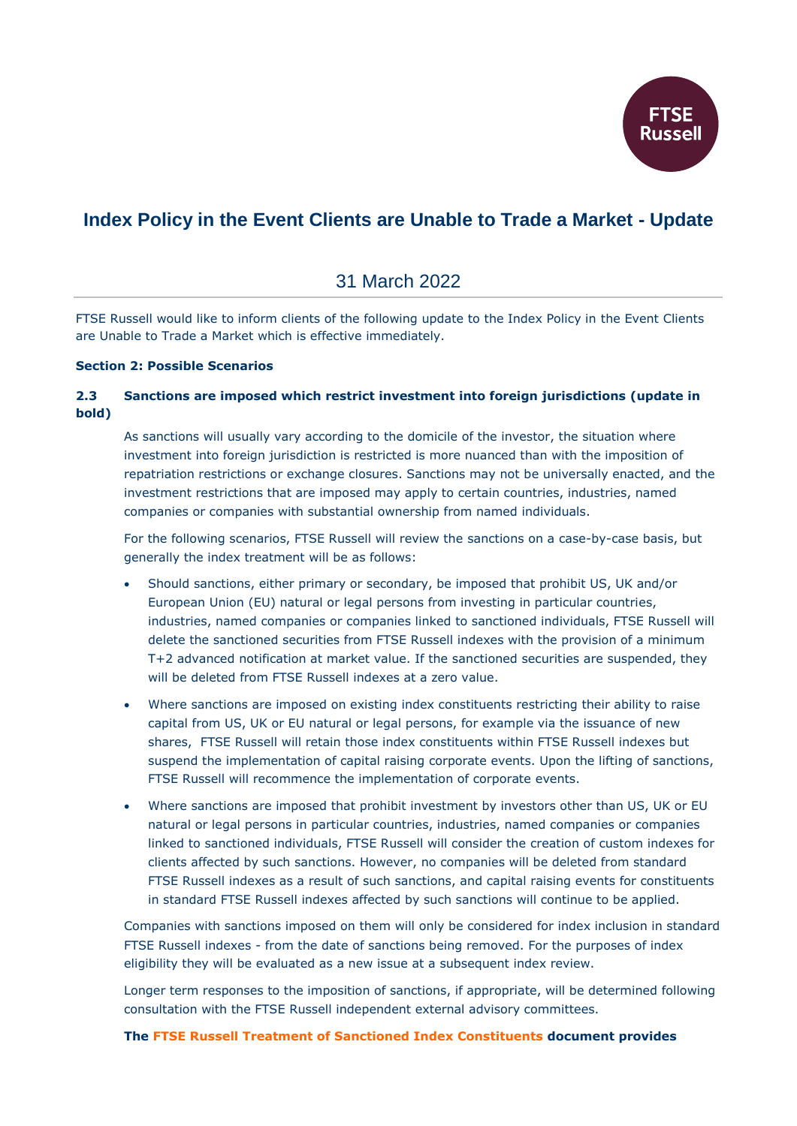

# **Index Policy in the Event Clients are Unable to Trade a Market - Update**

## 31 March 2022

FTSE Russell would like to inform clients of the following update to the Index Policy in the Event Clients are Unable to Trade a Market which is effective immediately.

#### **Section 2: Possible Scenarios**

### **2.3 Sanctions are imposed which restrict investment into foreign jurisdictions (update in bold)**

As sanctions will usually vary according to the domicile of the investor, the situation where investment into foreign jurisdiction is restricted is more nuanced than with the imposition of repatriation restrictions or exchange closures. Sanctions may not be universally enacted, and the investment restrictions that are imposed may apply to certain countries, industries, named companies or companies with substantial ownership from named individuals.

For the following scenarios, FTSE Russell will review the sanctions on a case-by-case basis, but generally the index treatment will be as follows:

- Should sanctions, either primary or secondary, be imposed that prohibit US, UK and/or European Union (EU) natural or legal persons from investing in particular countries, industries, named companies or companies linked to sanctioned individuals, FTSE Russell will delete the sanctioned securities from FTSE Russell indexes with the provision of a minimum T+2 advanced notification at market value. If the sanctioned securities are suspended, they will be deleted from FTSE Russell indexes at a zero value.
- Where sanctions are imposed on existing index constituents restricting their ability to raise capital from US, UK or EU natural or legal persons, for example via the issuance of new shares, FTSE Russell will retain those index constituents within FTSE Russell indexes but suspend the implementation of capital raising corporate events. Upon the lifting of sanctions, FTSE Russell will recommence the implementation of corporate events.
- Where sanctions are imposed that prohibit investment by investors other than US, UK or EU natural or legal persons in particular countries, industries, named companies or companies linked to sanctioned individuals, FTSE Russell will consider the creation of custom indexes for clients affected by such sanctions. However, no companies will be deleted from standard FTSE Russell indexes as a result of such sanctions, and capital raising events for constituents in standard FTSE Russell indexes affected by such sanctions will continue to be applied.

Companies with sanctions imposed on them will only be considered for index inclusion in standard FTSE Russell indexes - from the date of sanctions being removed. For the purposes of index eligibility they will be evaluated as a new issue at a subsequent index review.

Longer term responses to the imposition of sanctions, if appropriate, will be determined following consultation with the FTSE Russell independent external advisory committees.

#### **The [FTSE Russell Treatment of Sanctioned Index Constituents](https://research.ftserussell.com/products/downloads/FTSE_Russell_Treatment_of_Sanctioned_Index_Constituents.pdf) document provides**